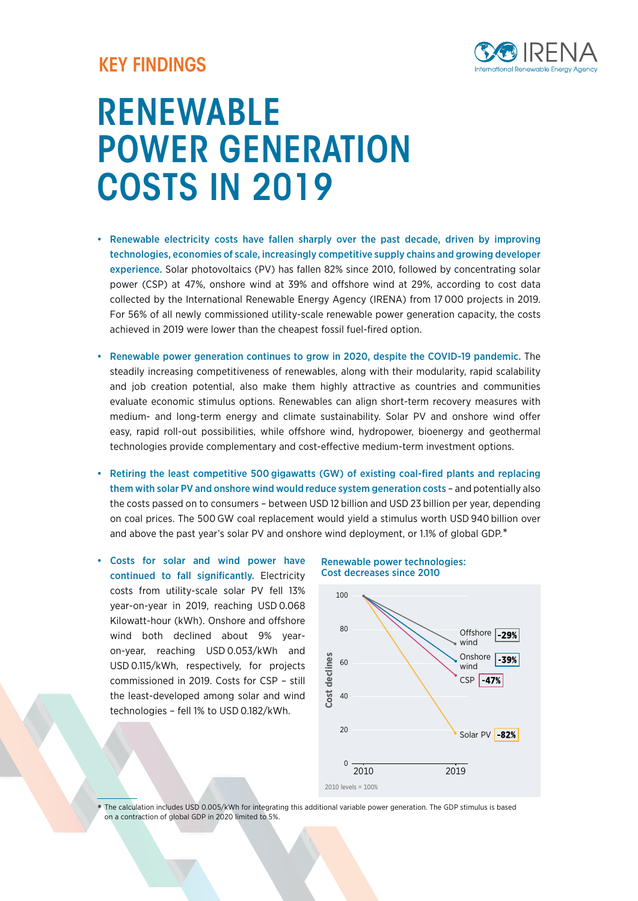## KEY FINDINGS



# RENEWABLE POWER GENERATION COSTS IN 2019

- Renewable electricity costs have fallen sharply over the past decade, driven by improving technologies, economies of scale, increasingly competitive supply chains and growing developer experience. Solar photovoltaics (PV) has fallen 82% since 2010, followed by concentrating solar power (CSP) at 47%, onshore wind at 39% and offshore wind at 29%, according to cost data collected by the International Renewable Energy Agency (IRENA) from 17 000 projects in 2019. For 56% of all newly commissioned utility-scale renewable power generation capacity, the costs achieved in 2019 were lower than the cheapest fossil fuel-fired option.
- Renewable power generation continues to grow in 2020, despite the COVID-19 pandemic. The steadily increasing competitiveness of renewables, along with their modularity, rapid scalability and job creation potential, also make them highly attractive as countries and communities evaluate economic stimulus options. Renewables can align short-term recovery measures with medium- and long-term energy and climate sustainability. Solar PV and onshore wind offer easy, rapid roll-out possibilities, while offshore wind, hydropower, bioenergy and geothermal technologies provide complementary and cost-effective medium-term investment options.
- Retiring the least competitive 500 gigawatts (GW) of existing coal-fired plants and replacing them with solar PV and onshore wind would reduce system generation costs – and potentially also the costs passed on to consumers – between USD 12 billion and USD 23 billion per year, depending on coal prices. The 500 GW coal replacement would yield a stimulus worth USD 940 billion over and above the past year's solar PV and onshore wind deployment, or 1.1% of global GDP.\*
- Costs for solar and wind power have continued to fall significantly. Electricity costs from utility-scale solar PV fell 13% year-on-year in 2019, reaching USD 0.068 Kilowatt-hour (kWh). Onshore and offshore wind both declined about 9% yearon-year, reaching USD 0.053/kWh and USD 0.115/kWh, respectively, for projects commissioned in 2019. Costs for CSP – still the least-developed among solar and wind technologies – fell 1% to USD 0.182/kWh.

#### Renewable power technologies: Cost decreases since 2010



The calculation includes USD 0.005/kWh for integrating this additional variable power generation. The GDP stimulus is based on a contraction of global GDP in 2020 limited to 5%. \*